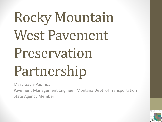# Rocky Mountain West Pavement Preservation Partnership

Mary Gayle Padmos

Pavement Management Engineer, Montana Dept. of Transportation State Agency Member

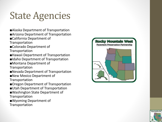### State Agencies

- ■Alaska Department of Transportation
- ■Arizona Department of Transportation
- ■California Department of
- Transportation
- ■Colorado Department of
- Transportation
- ■Hawaii Department of Transportation
- ■Idaho Department of Transportation
- ■Montana Department of

**Transportation** 

- ■Nevada Department of Transportation
- ■New Mexico Department of Transportation
- ■Oregon Department of Transportation
- ■Utah Department of Transportation
- ■Washington State Department of Transportation
- ■Wyoming Department of Transportation



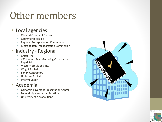#### Other members

#### • Local agencies

- City and County of Denver
- County of Riverside
- Regional Transportation Commission
- Metropolitan Transportation Commission

#### • Industry - Regional

- Crafco, Inc.
- CTS Cement Manufacturing Corporation | Rapid Set
- Western Emulsions Inc.
- Wright Asphalt
- Simon Contractors
- Holbrook Asphalt
- **Intermountain**

#### • Academia

- California Pavement Preservation Center
- Federal Highway Administration
- University of Nevada, Reno

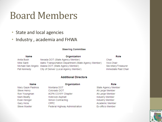#### Board Members

- State and local agencies
- Industry , academia and FHWA

#### **Steering Committee**

| <b>Name</b> | Organization                                          | Role                 |
|-------------|-------------------------------------------------------|----------------------|
| Anita Bush  | Nevada DOT (State Agency Member)                      | Chair                |
| Mike Santi  | Idaho Transportation Department (State Agency Member) | Vice-Chair           |
|             | Michael San Angelo Alaska DOT (State Agency Member)   | Secretary/Treasurer  |
| Pat Kennedy | City of Denver (Local Agency Member)                  | Immediate Past Chair |

#### **Additional Directors**

| Name                 | Organization                   | Role                |
|----------------------|--------------------------------|---------------------|
| Mary Gayle Padmos    | Montana DOT                    | State Agency Member |
| Steve Henry          | Colorado DOT                   | At-Large Member     |
| Ron Youngman         | ACPA CO/WY Chapter             | At-Large Member     |
| Mark Beatty          | Holbrook Asphalt               | Industry Member     |
| Evan Heniger         | Simon Contracting              | Industry Member     |
| Gary Hicks           | <b>CPPC</b>                    | Academic Member     |
| <b>Steve Mueller</b> | Federal Highway Administration | Ex-officio Member   |

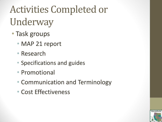# Activities Completed or Underway

- Task groups
	- MAP 21 report
	- Research
	- Specifications and guides
	- Promotional
	- Communication and Terminology
	- Cost Effectiveness

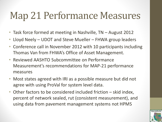#### Map 21 Performance Measures

- Task force formed at meeting in Nashville, TN August 2012
- Lloyd Neely UDOT and Steve Mueller FHWA group leaders
- Conference call in November 2012 with 10 participants including Thomas Van from FHWA's Office of Asset Management.
- Reviewed AASHTO Subcommittee on Performance Measurement's recommendations for MAP-21 performance measures
- Most states agreed with IRI as a possible measure but did not agree with using ProVal for system level data.
- Other factors to be considered included friction skid index, percent of network sealed, rut (consistent measurement), and using data from pavement management systems not HPMS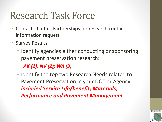#### Research Task Force

- Contacted other Partnerships for research contact information request
- Survey Results
	- Identify agencies either conducting or sponsoring pavement preservation research:

*AK (2); NV (2); WA (3)*

• Identify the top two Research Needs related to Pavement Preservation in your DOT or Agency: *included Service Life/benefit; Materials; Performance and Pavement Management*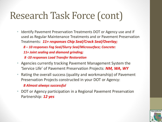#### Research Task Force (cont)

- Identify Pavement Preservation Treatments DOT or Agency use and if used as Regular Maintenance Treatments and or Pavement Preservation Treatments: *11+ responses Chip Seal/Crack Seal/Overlay;* 
	- *8 – 10 responses Fog Seal/Slurry Seal/Microsurface; Concrete:*
	- *11+ Joint sealing and diamond grinding;*
	- *8 -10 responses Load Transfer Restoration*
- Agencies currently tracking Pavement Management System the 'Service Life' of Pavement Preservation Projects: *NM, WA, WY*
- Rating the overall success (quality and workmanship) of Pavement Preservation Projects constructed in your DOT or Agency:

#### *8 Almost always successful*

• DOT or Agency participation in a Regional Pavement Preservation Partnership: *12 yes*

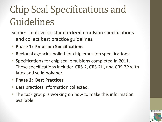### Chip Seal Specifications and Guidelines

Scope: To develop standardized emulsion specifications and collect best practice guidelines.

- **Phase 1: Emulsion Specifications**
- Regional agencies polled for chip emulsion specifications.
- Specifications for chip seal emulsions completed in 2011. These specifications include: CRS-2, CRS-2H, and CRS-2P with latex and solid polymer.
- **Phase 2: Best Practices**
- Best practices information collected.
- The task group is working on how to make this information available.

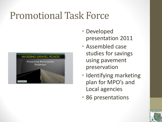#### Promotional Task Force



- Developed presentation 2011
- Assembled case studies for savings using pavement preservation
- Identifying marketing plan for MPO's and Local agencies
- 86 presentations

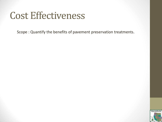#### Cost Effectiveness

Scope : Quantify the benefits of pavement preservation treatments.

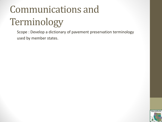# Communications and Terminology

Scope : Develop a dictionary of pavement preservation terminology used by member states.

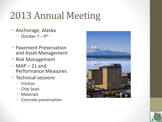### 2013 Annual Meeting

- Anchorage, Alaska
	- October  $7 9$ <sup>th</sup>
- Pavement Preservation and Asset Management
- Risk Management
- MAP  $-21$  and Performance Measures
- Technical sessions
	- Friction
	- Chip Seals
	- **Materials**
	- Concrete preservation